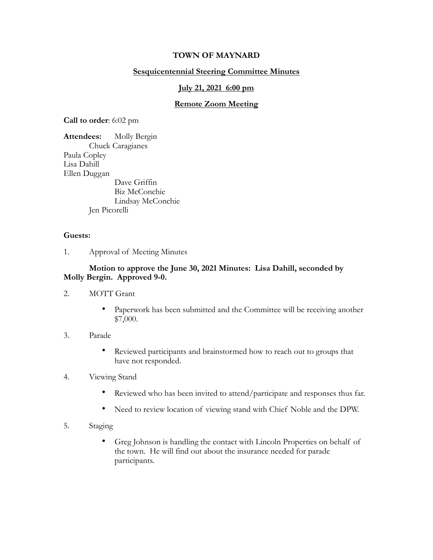## **TOWN OF MAYNARD**

## **Sesquicentennial Steering Committee Minutes**

#### **July 21, 2021 6:00 pm**

#### **Remote Zoom Meeting**

**Call to order**: 6:02 pm

**Attendees:** Molly Bergin Chuck Caragianes Paula Copley Lisa Dahill Ellen Duggan Dave Griffin Biz McConchie Lindsay McConchie Jen Picorelli

#### **Guests:**

1. Approval of Meeting Minutes

## **Motion to approve the June 30, 2021 Minutes: Lisa Dahill, seconded by Molly Bergin. Approved 9-0.**

- 2. MOTT Grant
	- Paperwork has been submitted and the Committee will be receiving another \$7,000.
- 3. Parade
	- Reviewed participants and brainstormed how to reach out to groups that have not responded.
- 4. Viewing Stand
	- Reviewed who has been invited to attend/participate and responses thus far.
	- Need to review location of viewing stand with Chief Noble and the DPW.
- 5. Staging
	- Greg Johnson is handling the contact with Lincoln Properties on behalf of the town. He will find out about the insurance needed for parade participants.